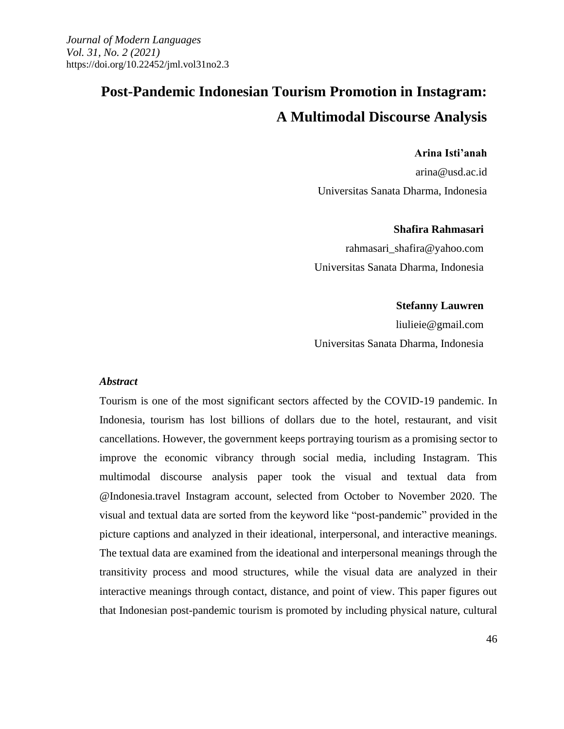# **Post-Pandemic Indonesian Tourism Promotion in Instagram: A Multimodal Discourse Analysis**

#### **Arina Isti'anah**

arina@usd.ac.id Universitas Sanata Dharma, Indonesia

#### **Shafira Rahmasari**

rahmasari\_shafira@yahoo.com Universitas Sanata Dharma, Indonesia

#### **Stefanny Lauwren**

liulieie@gmail.com Universitas Sanata Dharma, Indonesia

#### *Abstract*

Tourism is one of the most significant sectors affected by the COVID-19 pandemic. In Indonesia, tourism has lost billions of dollars due to the hotel, restaurant, and visit cancellations. However, the government keeps portraying tourism as a promising sector to improve the economic vibrancy through social media, including Instagram. This multimodal discourse analysis paper took the visual and textual data from @Indonesia.travel Instagram account, selected from October to November 2020. The visual and textual data are sorted from the keyword like "post-pandemic" provided in the picture captions and analyzed in their ideational, interpersonal, and interactive meanings. The textual data are examined from the ideational and interpersonal meanings through the transitivity process and mood structures, while the visual data are analyzed in their interactive meanings through contact, distance, and point of view. This paper figures out that Indonesian post-pandemic tourism is promoted by including physical nature, cultural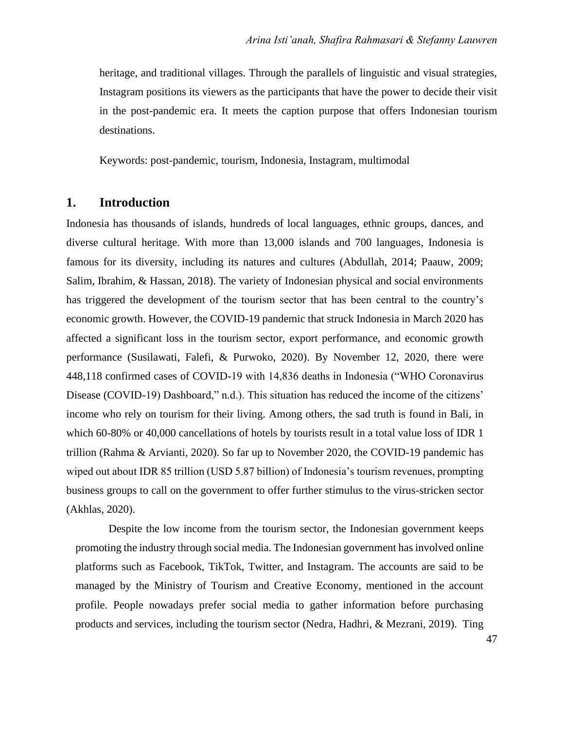heritage, and traditional villages. Through the parallels of linguistic and visual strategies, Instagram positions its viewers as the participants that have the power to decide their visit in the post-pandemic era. It meets the caption purpose that offers Indonesian tourism destinations.

Keywords: post-pandemic, tourism, Indonesia, Instagram, multimodal

#### **1. Introduction**

Indonesia has thousands of islands, hundreds of local languages, ethnic groups, dances, and diverse cultural heritage. With more than 13,000 islands and 700 languages, Indonesia is famous for its diversity, including its natures and cultures (Abdullah, 2014; Paauw, 2009; Salim, Ibrahim, & Hassan, 2018). The variety of Indonesian physical and social environments has triggered the development of the tourism sector that has been central to the country's economic growth. However, the COVID-19 pandemic that struck Indonesia in March 2020 has affected a significant loss in the tourism sector, export performance, and economic growth performance (Susilawati, Falefi, & Purwoko, 2020). By November 12, 2020, there were 448,118 confirmed cases of COVID-19 with 14,836 deaths in Indonesia ("WHO Coronavirus Disease (COVID-19) Dashboard," n.d.). This situation has reduced the income of the citizens' income who rely on tourism for their living. Among others, the sad truth is found in Bali, in which 60-80% or 40,000 cancellations of hotels by tourists result in a total value loss of IDR 1 trillion (Rahma & Arvianti, 2020). So far up to November 2020, the COVID-19 pandemic has wiped out about IDR 85 trillion (USD 5.87 billion) of Indonesia's tourism revenues, prompting business groups to call on the government to offer further stimulus to the virus-stricken sector (Akhlas, 2020).

Despite the low income from the tourism sector, the Indonesian government keeps promoting the industry through social media. The Indonesian government has involved online platforms such as Facebook, TikTok, Twitter, and Instagram. The accounts are said to be managed by the Ministry of Tourism and Creative Economy, mentioned in the account profile. People nowadays prefer social media to gather information before purchasing products and services, including the tourism sector (Nedra, Hadhri, & Mezrani, 2019). Ting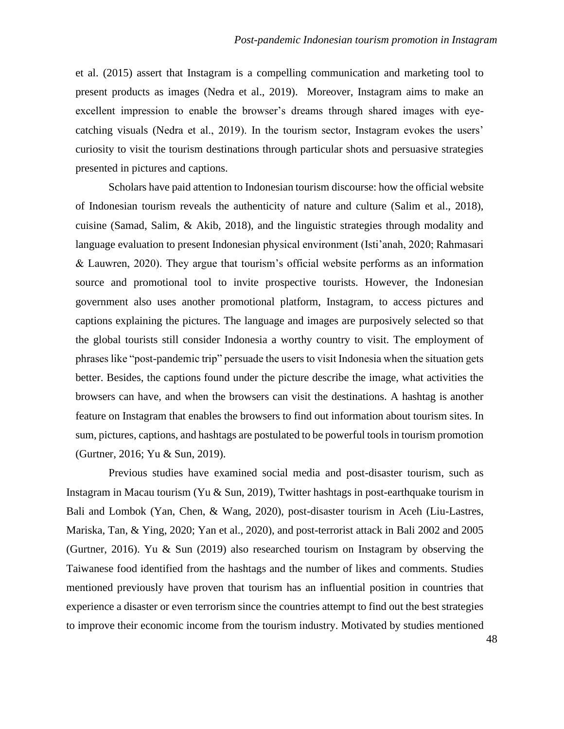et al. (2015) assert that Instagram is a compelling communication and marketing tool to present products as images (Nedra et al., 2019). Moreover, Instagram aims to make an excellent impression to enable the browser's dreams through shared images with eyecatching visuals (Nedra et al., 2019). In the tourism sector, Instagram evokes the users' curiosity to visit the tourism destinations through particular shots and persuasive strategies presented in pictures and captions.

Scholars have paid attention to Indonesian tourism discourse: how the official website of Indonesian tourism reveals the authenticity of nature and culture (Salim et al., 2018), cuisine (Samad, Salim, & Akib, 2018), and the linguistic strategies through modality and language evaluation to present Indonesian physical environment (Isti'anah, 2020; Rahmasari & Lauwren, 2020). They argue that tourism's official website performs as an information source and promotional tool to invite prospective tourists. However, the Indonesian government also uses another promotional platform, Instagram, to access pictures and captions explaining the pictures. The language and images are purposively selected so that the global tourists still consider Indonesia a worthy country to visit. The employment of phrases like "post-pandemic trip" persuade the users to visit Indonesia when the situation gets better. Besides, the captions found under the picture describe the image, what activities the browsers can have, and when the browsers can visit the destinations. A hashtag is another feature on Instagram that enables the browsers to find out information about tourism sites. In sum, pictures, captions, and hashtags are postulated to be powerful tools in tourism promotion (Gurtner, 2016; Yu & Sun, 2019).

Previous studies have examined social media and post-disaster tourism, such as Instagram in Macau tourism (Yu & Sun, 2019), Twitter hashtags in post-earthquake tourism in Bali and Lombok (Yan, Chen, & Wang, 2020), post-disaster tourism in Aceh (Liu-Lastres, Mariska, Tan, & Ying, 2020; Yan et al., 2020), and post-terrorist attack in Bali 2002 and 2005 (Gurtner, 2016). Yu & Sun (2019) also researched tourism on Instagram by observing the Taiwanese food identified from the hashtags and the number of likes and comments. Studies mentioned previously have proven that tourism has an influential position in countries that experience a disaster or even terrorism since the countries attempt to find out the best strategies to improve their economic income from the tourism industry. Motivated by studies mentioned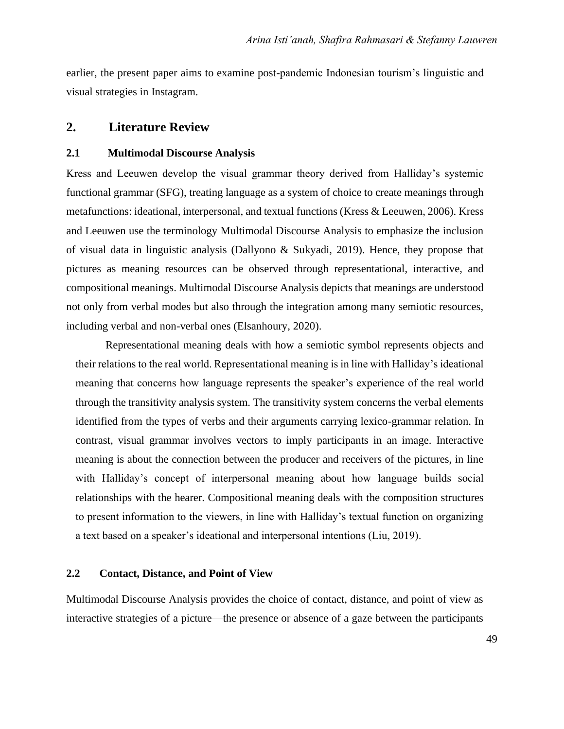earlier, the present paper aims to examine post-pandemic Indonesian tourism's linguistic and visual strategies in Instagram.

#### **2. Literature Review**

#### **2.1 Multimodal Discourse Analysis**

Kress and Leeuwen develop the visual grammar theory derived from Halliday's systemic functional grammar (SFG), treating language as a system of choice to create meanings through metafunctions: ideational, interpersonal, and textual functions (Kress & Leeuwen, 2006). Kress and Leeuwen use the terminology Multimodal Discourse Analysis to emphasize the inclusion of visual data in linguistic analysis (Dallyono & Sukyadi, 2019). Hence, they propose that pictures as meaning resources can be observed through representational, interactive, and compositional meanings. Multimodal Discourse Analysis depicts that meanings are understood not only from verbal modes but also through the integration among many semiotic resources, including verbal and non-verbal ones (Elsanhoury, 2020).

Representational meaning deals with how a semiotic symbol represents objects and their relations to the real world. Representational meaning is in line with Halliday's ideational meaning that concerns how language represents the speaker's experience of the real world through the transitivity analysis system. The transitivity system concerns the verbal elements identified from the types of verbs and their arguments carrying lexico-grammar relation. In contrast, visual grammar involves vectors to imply participants in an image. Interactive meaning is about the connection between the producer and receivers of the pictures, in line with Halliday's concept of interpersonal meaning about how language builds social relationships with the hearer. Compositional meaning deals with the composition structures to present information to the viewers, in line with Halliday's textual function on organizing a text based on a speaker's ideational and interpersonal intentions (Liu, 2019).

#### **2.2 Contact, Distance, and Point of View**

Multimodal Discourse Analysis provides the choice of contact, distance, and point of view as interactive strategies of a picture—the presence or absence of a gaze between the participants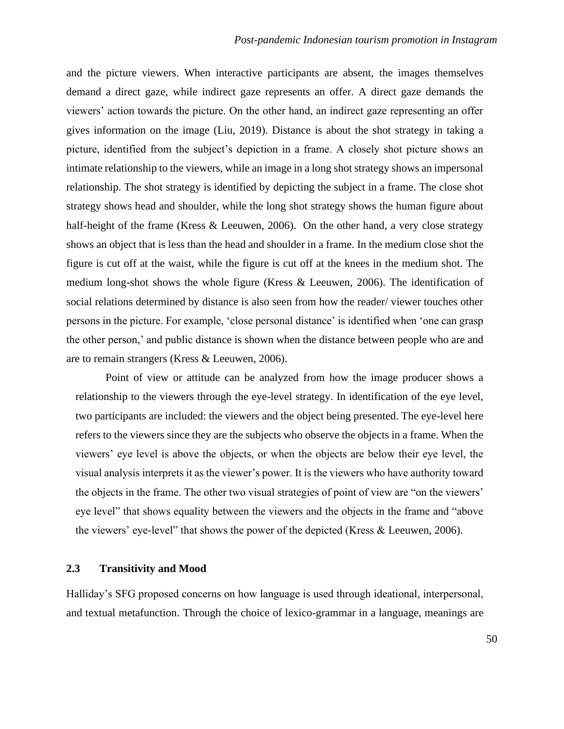and the picture viewers. When interactive participants are absent, the images themselves demand a direct gaze, while indirect gaze represents an offer. A direct gaze demands the viewers' action towards the picture. On the other hand, an indirect gaze representing an offer gives information on the image (Liu, 2019). Distance is about the shot strategy in taking a picture, identified from the subject's depiction in a frame. A closely shot picture shows an intimate relationship to the viewers, while an image in a long shot strategy shows an impersonal relationship. The shot strategy is identified by depicting the subject in a frame. The close shot strategy shows head and shoulder, while the long shot strategy shows the human figure about half-height of the frame (Kress & Leeuwen, 2006). On the other hand, a very close strategy shows an object that is less than the head and shoulder in a frame. In the medium close shot the figure is cut off at the waist, while the figure is cut off at the knees in the medium shot. The medium long-shot shows the whole figure (Kress & Leeuwen, 2006). The identification of social relations determined by distance is also seen from how the reader/ viewer touches other persons in the picture. For example, 'close personal distance' is identified when 'one can grasp the other person,' and public distance is shown when the distance between people who are and are to remain strangers (Kress & Leeuwen, 2006).

Point of view or attitude can be analyzed from how the image producer shows a relationship to the viewers through the eye-level strategy. In identification of the eye level, two participants are included: the viewers and the object being presented. The eye-level here refers to the viewers since they are the subjects who observe the objects in a frame. When the viewers' eye level is above the objects, or when the objects are below their eye level, the visual analysis interprets it as the viewer's power. It is the viewers who have authority toward the objects in the frame. The other two visual strategies of point of view are "on the viewers' eye level" that shows equality between the viewers and the objects in the frame and "above the viewers' eye-level" that shows the power of the depicted (Kress & Leeuwen, 2006).

#### **2.3 Transitivity and Mood**

Halliday's SFG proposed concerns on how language is used through ideational, interpersonal, and textual metafunction. Through the choice of lexico-grammar in a language, meanings are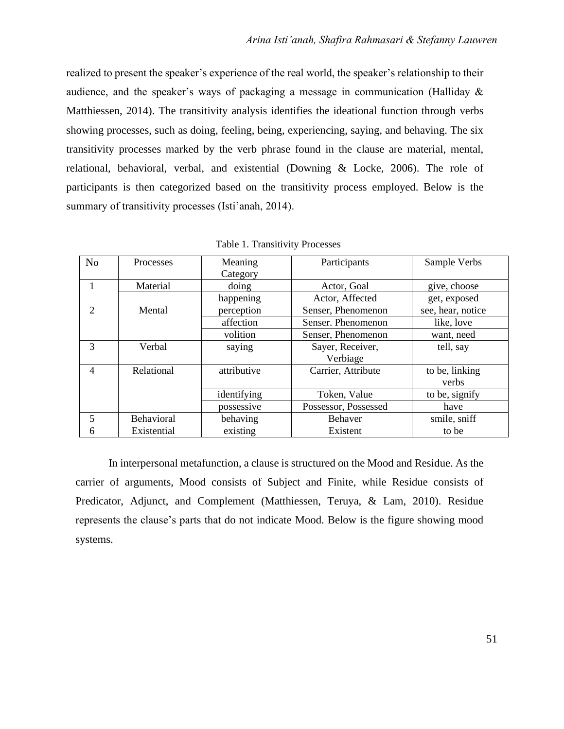realized to present the speaker's experience of the real world, the speaker's relationship to their audience, and the speaker's ways of packaging a message in communication (Halliday & Matthiessen, 2014). The transitivity analysis identifies the ideational function through verbs showing processes, such as doing, feeling, being, experiencing, saying, and behaving. The six transitivity processes marked by the verb phrase found in the clause are material, mental, relational, behavioral, verbal, and existential (Downing & Locke, 2006). The role of participants is then categorized based on the transitivity process employed. Below is the summary of transitivity processes (Isti'anah, 2014).

| N <sub>o</sub> | Processes   | Meaning<br>Category | Participants                 | Sample Verbs            |  |
|----------------|-------------|---------------------|------------------------------|-------------------------|--|
|                | Material    | doing               | Actor, Goal                  | give, choose            |  |
|                |             | happening           | Actor, Affected              | get, exposed            |  |
| $\mathfrak{D}$ | Mental      | perception          | Senser, Phenomenon           | see, hear, notice       |  |
|                |             | affection           | Senser. Phenomenon           | like, love              |  |
|                |             | volition            | Senser, Phenomenon           | want, need              |  |
| 3              | Verbal      | saying              | Sayer, Receiver,<br>Verbiage | tell, say               |  |
| 4              | Relational  | attributive         | Carrier, Attribute           | to be, linking<br>verbs |  |
|                |             | identifying         | Token, Value                 | to be, signify          |  |
|                |             | possessive          | Possessor, Possessed         | have                    |  |
| 5              | Behavioral  | behaving            | Behaver                      | smile, sniff            |  |
| 6              | Existential | existing            | Existent                     | to be                   |  |

Table 1. Transitivity Processes

In interpersonal metafunction, a clause is structured on the Mood and Residue. As the carrier of arguments, Mood consists of Subject and Finite, while Residue consists of Predicator, Adjunct, and Complement (Matthiessen, Teruya, & Lam, 2010). Residue represents the clause's parts that do not indicate Mood. Below is the figure showing mood systems.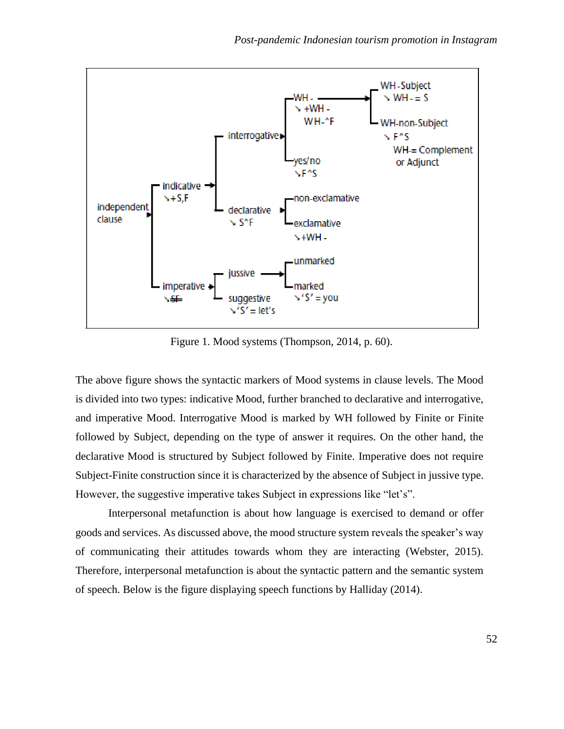

Figure 1. Mood systems (Thompson, 2014, p. 60).

The above figure shows the syntactic markers of Mood systems in clause levels. The Mood is divided into two types: indicative Mood, further branched to declarative and interrogative, and imperative Mood. Interrogative Mood is marked by WH followed by Finite or Finite followed by Subject, depending on the type of answer it requires. On the other hand, the declarative Mood is structured by Subject followed by Finite. Imperative does not require Subject-Finite construction since it is characterized by the absence of Subject in jussive type. However, the suggestive imperative takes Subject in expressions like "let's".

Interpersonal metafunction is about how language is exercised to demand or offer goods and services. As discussed above, the mood structure system reveals the speaker's way of communicating their attitudes towards whom they are interacting (Webster, 2015). Therefore, interpersonal metafunction is about the syntactic pattern and the semantic system of speech. Below is the figure displaying speech functions by Halliday (2014).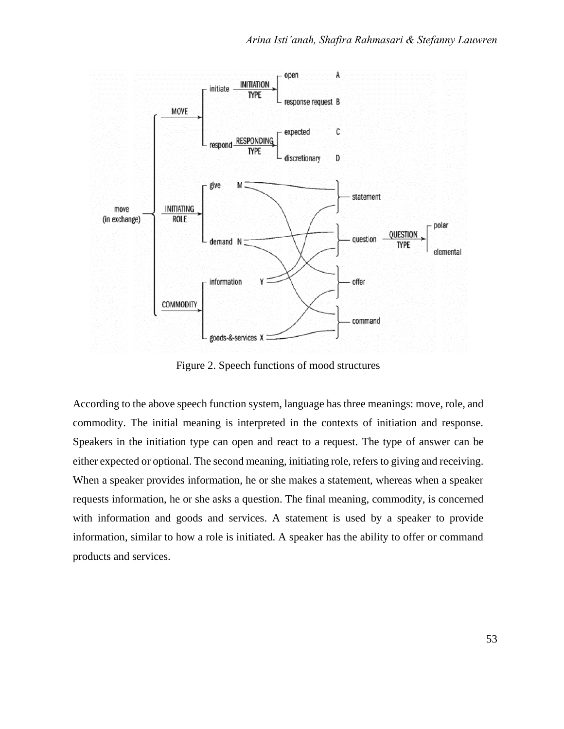

Figure 2. Speech functions of mood structures

According to the above speech function system, language has three meanings: move, role, and commodity. The initial meaning is interpreted in the contexts of initiation and response. Speakers in the initiation type can open and react to a request. The type of answer can be either expected or optional. The second meaning, initiating role, refers to giving and receiving. When a speaker provides information, he or she makes a statement, whereas when a speaker requests information, he or she asks a question. The final meaning, commodity, is concerned with information and goods and services. A statement is used by a speaker to provide information, similar to how a role is initiated. A speaker has the ability to offer or command products and services.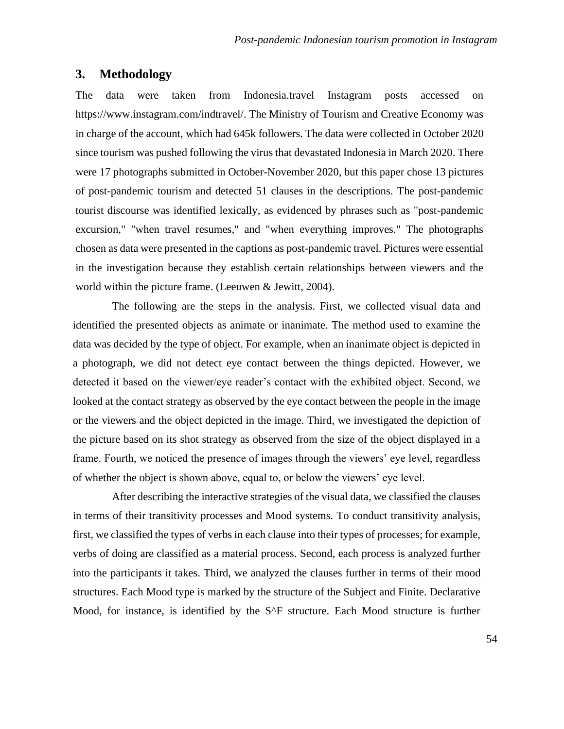#### **3. Methodology**

The data were taken from Indonesia.travel Instagram posts accessed on https://www.instagram.com/indtravel/. The Ministry of Tourism and Creative Economy was in charge of the account, which had 645k followers. The data were collected in October 2020 since tourism was pushed following the virus that devastated Indonesia in March 2020. There were 17 photographs submitted in October-November 2020, but this paper chose 13 pictures of post-pandemic tourism and detected 51 clauses in the descriptions. The post-pandemic tourist discourse was identified lexically, as evidenced by phrases such as "post-pandemic excursion," "when travel resumes," and "when everything improves." The photographs chosen as data were presented in the captions as post-pandemic travel. Pictures were essential in the investigation because they establish certain relationships between viewers and the world within the picture frame. (Leeuwen & Jewitt, 2004).

The following are the steps in the analysis. First, we collected visual data and identified the presented objects as animate or inanimate. The method used to examine the data was decided by the type of object. For example, when an inanimate object is depicted in a photograph, we did not detect eye contact between the things depicted. However, we detected it based on the viewer/eye reader's contact with the exhibited object. Second, we looked at the contact strategy as observed by the eye contact between the people in the image or the viewers and the object depicted in the image. Third, we investigated the depiction of the picture based on its shot strategy as observed from the size of the object displayed in a frame. Fourth, we noticed the presence of images through the viewers' eye level, regardless of whether the object is shown above, equal to, or below the viewers' eye level.

After describing the interactive strategies of the visual data, we classified the clauses in terms of their transitivity processes and Mood systems. To conduct transitivity analysis, first, we classified the types of verbs in each clause into their types of processes; for example, verbs of doing are classified as a material process. Second, each process is analyzed further into the participants it takes. Third, we analyzed the clauses further in terms of their mood structures. Each Mood type is marked by the structure of the Subject and Finite. Declarative Mood, for instance, is identified by the S^F structure. Each Mood structure is further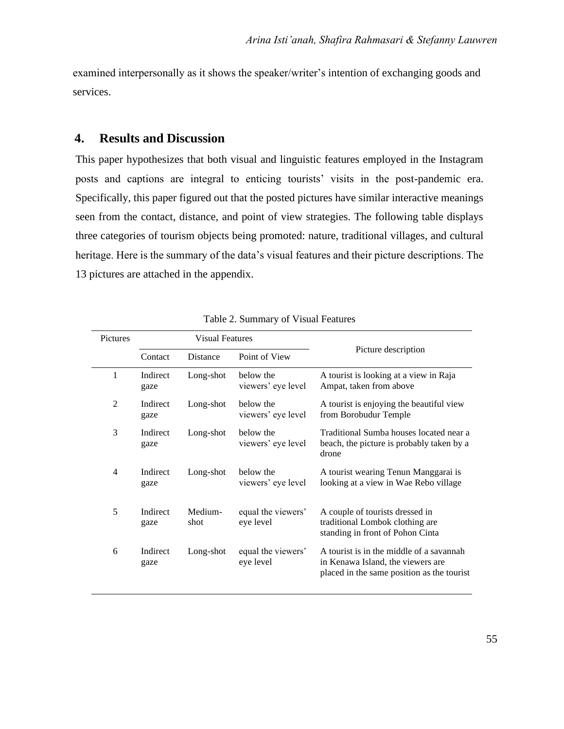examined interpersonally as it shows the speaker/writer's intention of exchanging goods and services.

## **4. Results and Discussion**

This paper hypothesizes that both visual and linguistic features employed in the Instagram posts and captions are integral to enticing tourists' visits in the post-pandemic era. Specifically, this paper figured out that the posted pictures have similar interactive meanings seen from the contact, distance, and point of view strategies. The following table displays three categories of tourism objects being promoted: nature, traditional villages, and cultural heritage. Here is the summary of the data's visual features and their picture descriptions. The 13 pictures are attached in the appendix.

| Pictures | <b>Visual Features</b> |                 |                                 |                                                                                                                             |  |
|----------|------------------------|-----------------|---------------------------------|-----------------------------------------------------------------------------------------------------------------------------|--|
|          | Contact                | Distance        | Point of View                   | Picture description                                                                                                         |  |
| 1        | Indirect<br>gaze       | Long-shot       | below the<br>viewers' eye level | A tourist is looking at a view in Raja<br>Ampat, taken from above                                                           |  |
| 2        | Indirect<br>gaze       | Long-shot       | below the<br>viewers' eye level | A tourist is enjoying the beautiful view<br>from Borobudur Temple                                                           |  |
| 3        | Indirect<br>gaze       | Long-shot       | below the<br>viewers' eye level | Traditional Sumba houses located near a<br>beach, the picture is probably taken by a<br>drone                               |  |
| 4        | Indirect<br>gaze       | Long-shot       | below the<br>viewers' eye level | A tourist wearing Tenun Manggarai is<br>looking at a view in Wae Rebo village                                               |  |
| 5        | Indirect<br>gaze       | Medium-<br>shot | equal the viewers'<br>eye level | A couple of tourists dressed in<br>traditional Lombok clothing are<br>standing in front of Pohon Cinta                      |  |
| 6        | Indirect<br>gaze       | Long-shot       | equal the viewers'<br>eye level | A tourist is in the middle of a savannah<br>in Kenawa Island, the viewers are<br>placed in the same position as the tourist |  |

| Table 2. Summary of Visual Features |  |  |
|-------------------------------------|--|--|
|-------------------------------------|--|--|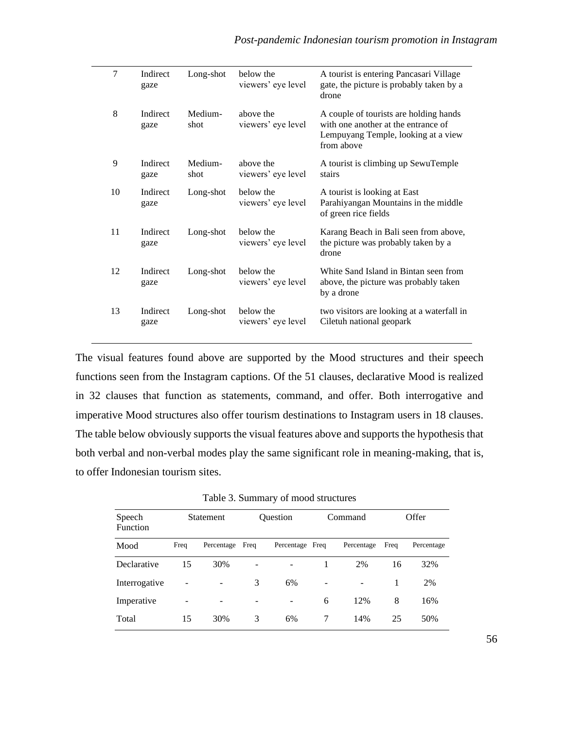| 7  | Indirect<br>gaze | Long-shot       | below the<br>viewers' eye level | A tourist is entering Pancasari Village<br>gate, the picture is probably taken by a<br>drone                                       |
|----|------------------|-----------------|---------------------------------|------------------------------------------------------------------------------------------------------------------------------------|
| 8  | Indirect<br>gaze | Medium-<br>shot | above the<br>viewers' eye level | A couple of tourists are holding hands<br>with one another at the entrance of<br>Lempuyang Temple, looking at a view<br>from above |
| 9  | Indirect<br>gaze | Medium-<br>shot | above the<br>viewers' eye level | A tourist is climbing up SewuTemple<br>stairs                                                                                      |
| 10 | Indirect<br>gaze | Long-shot       | below the<br>viewers' eye level | A tourist is looking at East<br>Parahiyangan Mountains in the middle<br>of green rice fields                                       |
| 11 | Indirect<br>gaze | Long-shot       | below the<br>viewers' eye level | Karang Beach in Bali seen from above,<br>the picture was probably taken by a<br>drone                                              |
| 12 | Indirect<br>gaze | Long-shot       | below the<br>viewers' eye level | White Sand Island in Bintan seen from<br>above, the picture was probably taken<br>by a drone                                       |
| 13 | Indirect<br>gaze | Long-shot       | below the<br>viewers' eye level | two visitors are looking at a waterfall in<br>Ciletuh national geopark                                                             |

The visual features found above are supported by the Mood structures and their speech functions seen from the Instagram captions. Of the 51 clauses, declarative Mood is realized in 32 clauses that function as statements, command, and offer. Both interrogative and imperative Mood structures also offer tourism destinations to Instagram users in 18 clauses. The table below obviously supports the visual features above and supports the hypothesis that both verbal and non-verbal modes play the same significant role in meaning-making, that is, to offer Indonesian tourism sites.

Table 3. Summary of mood structures

| Speech<br>Function |      | <b>Statement</b> |      | Ouestion        |   | Command    |      | Offer      |
|--------------------|------|------------------|------|-----------------|---|------------|------|------------|
| Mood               | Freq | Percentage       | Freq | Percentage Freq |   | Percentage | Freq | Percentage |
| Declarative        | 15   | 30%              |      | ۰               |   | 2%         | 16   | 32%        |
| Interrogative      |      |                  | 3    | 6%              |   |            |      | 2%         |
| Imperative         |      |                  |      | -               | 6 | 12%        | 8    | 16%        |
| Total              | 15   | 30%              | 3    | 6%              | 7 | 14%        | 25   | 50%        |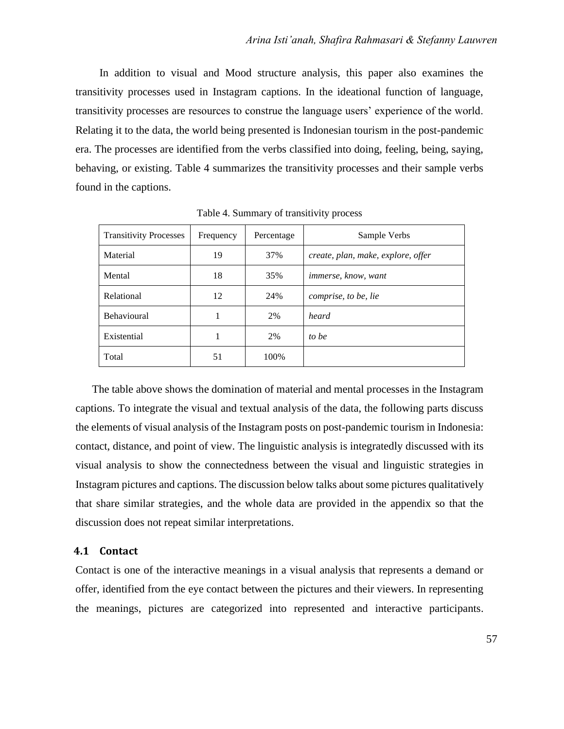In addition to visual and Mood structure analysis, this paper also examines the transitivity processes used in Instagram captions. In the ideational function of language, transitivity processes are resources to construe the language users' experience of the world. Relating it to the data, the world being presented is Indonesian tourism in the post-pandemic era. The processes are identified from the verbs classified into doing, feeling, being, saying, behaving, or existing. Table 4 summarizes the transitivity processes and their sample verbs found in the captions.

| <b>Transitivity Processes</b> | Frequency | Percentage | Sample Verbs                       |
|-------------------------------|-----------|------------|------------------------------------|
| Material                      | 19        | 37%        | create, plan, make, explore, offer |
| Mental                        | 18        | 35%        | <i>immerse, know, want</i>         |
| Relational                    | 12        | 24%        | comprise, to be, lie               |
| <b>Behavioural</b>            | 1         | 2%         | heard                              |
| Existential                   | 1         | 2%         | to be                              |
| Total                         | 51        | 100%       |                                    |

Table 4. Summary of transitivity process

The table above shows the domination of material and mental processes in the Instagram captions. To integrate the visual and textual analysis of the data, the following parts discuss the elements of visual analysis of the Instagram posts on post-pandemic tourism in Indonesia: contact, distance, and point of view. The linguistic analysis is integratedly discussed with its visual analysis to show the connectedness between the visual and linguistic strategies in Instagram pictures and captions. The discussion below talks about some pictures qualitatively that share similar strategies, and the whole data are provided in the appendix so that the discussion does not repeat similar interpretations.

#### **4.1 Contact**

Contact is one of the interactive meanings in a visual analysis that represents a demand or offer, identified from the eye contact between the pictures and their viewers. In representing the meanings, pictures are categorized into represented and interactive participants.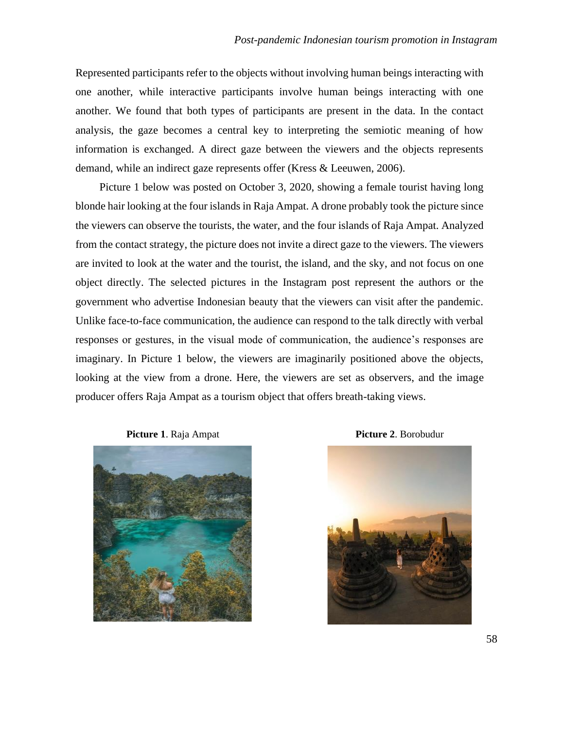Represented participants refer to the objects without involving human beings interacting with one another, while interactive participants involve human beings interacting with one another. We found that both types of participants are present in the data. In the contact analysis, the gaze becomes a central key to interpreting the semiotic meaning of how information is exchanged. A direct gaze between the viewers and the objects represents demand, while an indirect gaze represents offer (Kress & Leeuwen, 2006).

Picture 1 below was posted on October 3, 2020, showing a female tourist having long blonde hair looking at the four islands in Raja Ampat. A drone probably took the picture since the viewers can observe the tourists, the water, and the four islands of Raja Ampat. Analyzed from the contact strategy, the picture does not invite a direct gaze to the viewers. The viewers are invited to look at the water and the tourist, the island, and the sky, and not focus on one object directly. The selected pictures in the Instagram post represent the authors or the government who advertise Indonesian beauty that the viewers can visit after the pandemic. Unlike face-to-face communication, the audience can respond to the talk directly with verbal responses or gestures, in the visual mode of communication, the audience's responses are imaginary. In Picture 1 below, the viewers are imaginarily positioned above the objects, looking at the view from a drone. Here, the viewers are set as observers, and the image producer offers Raja Ampat as a tourism object that offers breath-taking views.





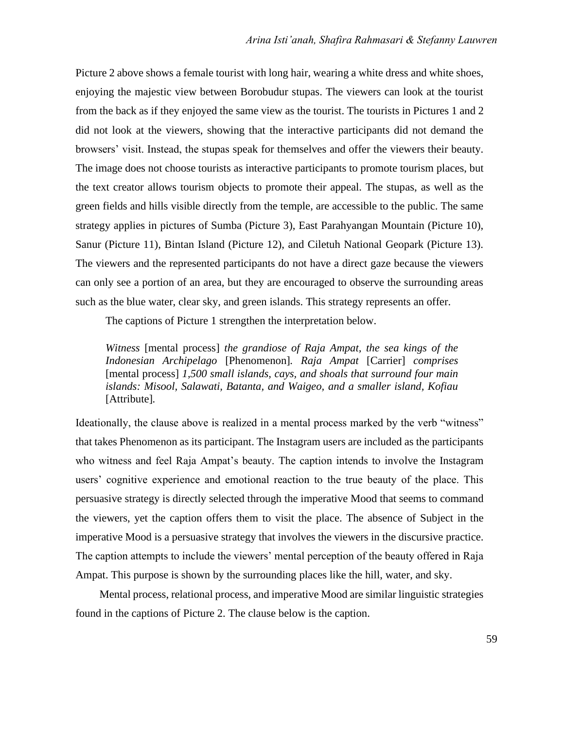Picture 2 above shows a female tourist with long hair, wearing a white dress and white shoes, enjoying the majestic view between Borobudur stupas. The viewers can look at the tourist from the back as if they enjoyed the same view as the tourist. The tourists in Pictures 1 and 2 did not look at the viewers, showing that the interactive participants did not demand the browsers' visit. Instead, the stupas speak for themselves and offer the viewers their beauty. The image does not choose tourists as interactive participants to promote tourism places, but the text creator allows tourism objects to promote their appeal. The stupas, as well as the green fields and hills visible directly from the temple, are accessible to the public. The same strategy applies in pictures of Sumba (Picture 3), East Parahyangan Mountain (Picture 10), Sanur (Picture 11), Bintan Island (Picture 12), and Ciletuh National Geopark (Picture 13). The viewers and the represented participants do not have a direct gaze because the viewers can only see a portion of an area, but they are encouraged to observe the surrounding areas such as the blue water, clear sky, and green islands. This strategy represents an offer.

The captions of Picture 1 strengthen the interpretation below.

*Witness* [mental process] *the grandiose of Raja Ampat, the sea kings of the Indonesian Archipelago* [Phenomenon]*. Raja Ampat* [Carrier] *comprises*  [mental process] *1,500 small islands, cays, and shoals that surround four main islands: Misool, Salawati, Batanta, and Waigeo, and a smaller island, Kofiau*  [Attribute]*.* 

Ideationally, the clause above is realized in a mental process marked by the verb "witness" that takes Phenomenon as its participant. The Instagram users are included as the participants who witness and feel Raja Ampat's beauty. The caption intends to involve the Instagram users' cognitive experience and emotional reaction to the true beauty of the place. This persuasive strategy is directly selected through the imperative Mood that seems to command the viewers, yet the caption offers them to visit the place. The absence of Subject in the imperative Mood is a persuasive strategy that involves the viewers in the discursive practice. The caption attempts to include the viewers' mental perception of the beauty offered in Raja Ampat. This purpose is shown by the surrounding places like the hill, water, and sky.

Mental process, relational process, and imperative Mood are similar linguistic strategies found in the captions of Picture 2. The clause below is the caption.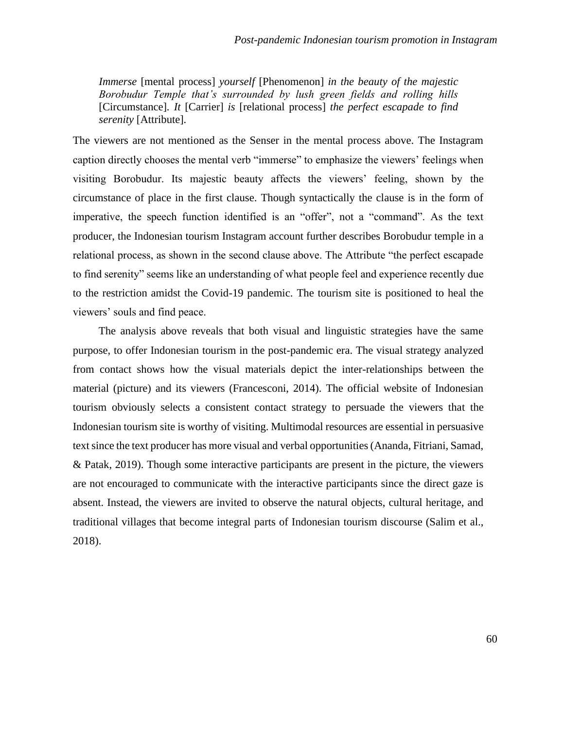*Immerse* [mental process] *yourself* [Phenomenon] *in the beauty of the majestic Borobudur Temple that's surrounded by lush green fields and rolling hills*  [Circumstance]*. It* [Carrier] *is* [relational process] *the perfect escapade to find serenity* [Attribute]*.*

The viewers are not mentioned as the Senser in the mental process above. The Instagram caption directly chooses the mental verb "immerse" to emphasize the viewers' feelings when visiting Borobudur. Its majestic beauty affects the viewers' feeling, shown by the circumstance of place in the first clause. Though syntactically the clause is in the form of imperative, the speech function identified is an "offer", not a "command". As the text producer, the Indonesian tourism Instagram account further describes Borobudur temple in a relational process, as shown in the second clause above. The Attribute "the perfect escapade to find serenity" seems like an understanding of what people feel and experience recently due to the restriction amidst the Covid-19 pandemic. The tourism site is positioned to heal the viewers' souls and find peace.

The analysis above reveals that both visual and linguistic strategies have the same purpose, to offer Indonesian tourism in the post-pandemic era. The visual strategy analyzed from contact shows how the visual materials depict the inter-relationships between the material (picture) and its viewers (Francesconi, 2014). The official website of Indonesian tourism obviously selects a consistent contact strategy to persuade the viewers that the Indonesian tourism site is worthy of visiting. Multimodal resources are essential in persuasive text since the text producer has more visual and verbal opportunities (Ananda, Fitriani, Samad, & Patak, 2019). Though some interactive participants are present in the picture, the viewers are not encouraged to communicate with the interactive participants since the direct gaze is absent. Instead, the viewers are invited to observe the natural objects, cultural heritage, and traditional villages that become integral parts of Indonesian tourism discourse (Salim et al., 2018).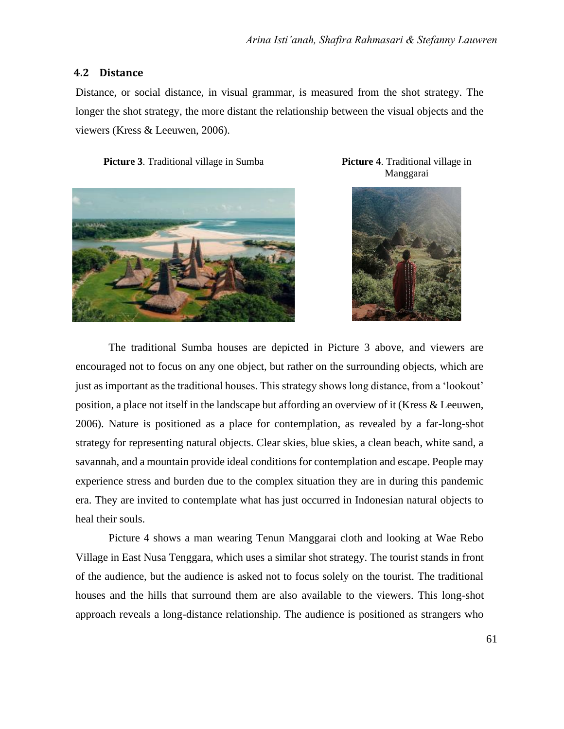#### **4.2 Distance**

Distance, or social distance, in visual grammar, is measured from the shot strategy. The longer the shot strategy, the more distant the relationship between the visual objects and the viewers (Kress & Leeuwen, 2006).

**Picture 3**. Traditional village in Sumba **Picture 4**. Traditional village in



Manggarai



The traditional Sumba houses are depicted in Picture 3 above, and viewers are encouraged not to focus on any one object, but rather on the surrounding objects, which are just as important as the traditional houses. This strategy shows long distance, from a 'lookout' position, a place not itself in the landscape but affording an overview of it (Kress & Leeuwen, 2006). Nature is positioned as a place for contemplation, as revealed by a far-long-shot strategy for representing natural objects. Clear skies, blue skies, a clean beach, white sand, a savannah, and a mountain provide ideal conditions for contemplation and escape. People may experience stress and burden due to the complex situation they are in during this pandemic era. They are invited to contemplate what has just occurred in Indonesian natural objects to heal their souls.

Picture 4 shows a man wearing Tenun Manggarai cloth and looking at Wae Rebo Village in East Nusa Tenggara, which uses a similar shot strategy. The tourist stands in front of the audience, but the audience is asked not to focus solely on the tourist. The traditional houses and the hills that surround them are also available to the viewers. This long-shot approach reveals a long-distance relationship. The audience is positioned as strangers who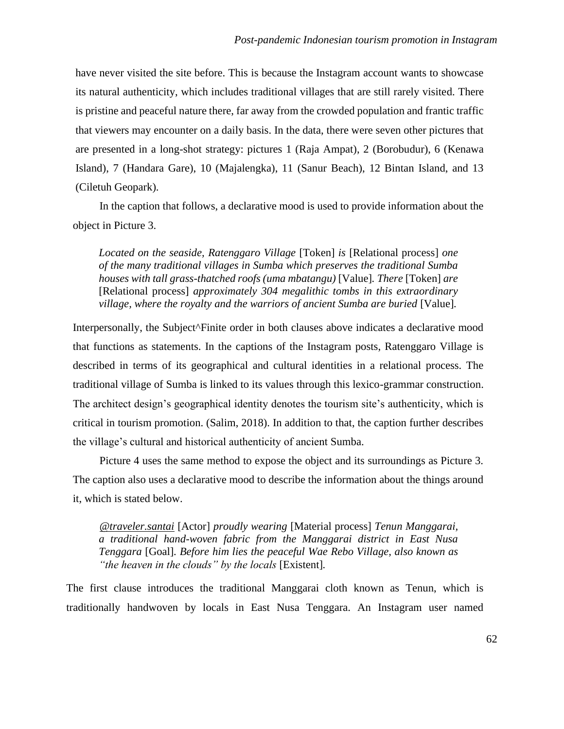have never visited the site before. This is because the Instagram account wants to showcase its natural authenticity, which includes traditional villages that are still rarely visited. There is pristine and peaceful nature there, far away from the crowded population and frantic traffic that viewers may encounter on a daily basis. In the data, there were seven other pictures that are presented in a long-shot strategy: pictures 1 (Raja Ampat), 2 (Borobudur), 6 (Kenawa Island), 7 (Handara Gare), 10 (Majalengka), 11 (Sanur Beach), 12 Bintan Island, and 13 (Ciletuh Geopark).

In the caption that follows, a declarative mood is used to provide information about the object in Picture 3.

*Located on the seaside, Ratenggaro Village* [Token] *is* [Relational process] *one of the many traditional villages in Sumba which preserves the traditional Sumba houses with tall grass-thatched roofs (uma mbatangu)* [Value]*. There* [Token] *are*  [Relational process] *approximately 304 megalithic tombs in this extraordinary village, where the royalty and the warriors of ancient Sumba are buried* [Value]*.*

Interpersonally, the Subject^Finite order in both clauses above indicates a declarative mood that functions as statements. In the captions of the Instagram posts, Ratenggaro Village is described in terms of its geographical and cultural identities in a relational process. The traditional village of Sumba is linked to its values through this lexico-grammar construction. The architect design's geographical identity denotes the tourism site's authenticity, which is critical in tourism promotion. (Salim, 2018). In addition to that, the caption further describes the village's cultural and historical authenticity of ancient Sumba.

Picture 4 uses the same method to expose the object and its surroundings as Picture 3. The caption also uses a declarative mood to describe the information about the things around it, which is stated below.

*[@traveler.santai](https://www.instagram.com/traveler.santai/)* [Actor] *proudly wearing* [Material process] *Tenun Manggarai, a traditional hand-woven fabric from the Manggarai district in East Nusa Tenggara* [Goal]*. Before him lies the peaceful Wae Rebo Village, also known as "the heaven in the clouds" by the locals* [Existent]*.* 

The first clause introduces the traditional Manggarai cloth known as Tenun, which is traditionally handwoven by locals in East Nusa Tenggara. An Instagram user named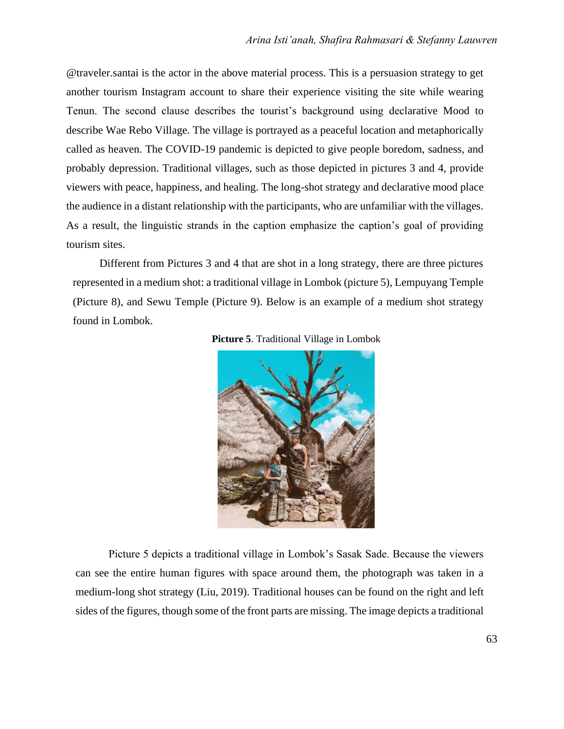@traveler.santai is the actor in the above material process. This is a persuasion strategy to get another tourism Instagram account to share their experience visiting the site while wearing Tenun. The second clause describes the tourist's background using declarative Mood to describe Wae Rebo Village. The village is portrayed as a peaceful location and metaphorically called as heaven. The COVID-19 pandemic is depicted to give people boredom, sadness, and probably depression. Traditional villages, such as those depicted in pictures 3 and 4, provide viewers with peace, happiness, and healing. The long-shot strategy and declarative mood place the audience in a distant relationship with the participants, who are unfamiliar with the villages. As a result, the linguistic strands in the caption emphasize the caption's goal of providing tourism sites.

Different from Pictures 3 and 4 that are shot in a long strategy, there are three pictures represented in a medium shot: a traditional village in Lombok (picture 5), Lempuyang Temple (Picture 8), and Sewu Temple (Picture 9). Below is an example of a medium shot strategy found in Lombok.





Picture 5 depicts a traditional village in Lombok's Sasak Sade. Because the viewers can see the entire human figures with space around them, the photograph was taken in a medium-long shot strategy (Liu, 2019). Traditional houses can be found on the right and left sides of the figures, though some of the front parts are missing. The image depicts a traditional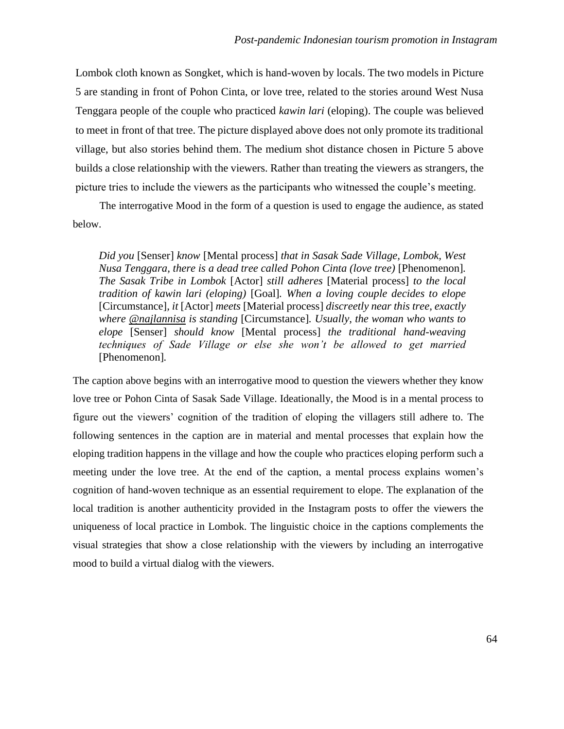Lombok cloth known as Songket, which is hand-woven by locals. The two models in Picture 5 are standing in front of Pohon Cinta, or love tree, related to the stories around West Nusa Tenggara people of the couple who practiced *kawin lari* (eloping). The couple was believed to meet in front of that tree. The picture displayed above does not only promote its traditional village, but also stories behind them. The medium shot distance chosen in Picture 5 above builds a close relationship with the viewers. Rather than treating the viewers as strangers, the picture tries to include the viewers as the participants who witnessed the couple's meeting.

The interrogative Mood in the form of a question is used to engage the audience, as stated below.

*Did you* [Senser] *know* [Mental process] *that in Sasak Sade Village, Lombok, West Nusa Tenggara, there is a dead tree called Pohon Cinta (love tree)* [Phenomenon]*. The Sasak Tribe in Lombok* [Actor] *still adheres* [Material process] *to the local tradition of kawin lari (eloping)* [Goal]*. When a loving couple decides to elope*  [Circumstance]*, it* [Actor] *meets* [Material process] *discreetly near this tree, exactly where [@najlannisa](https://www.instagram.com/najlannisa/) is standing* [Circumstance]*. Usually, the woman who wants to elope* [Senser] *should know* [Mental process] *the traditional hand-weaving techniques of Sade Village or else she won't be allowed to get married*  [Phenomenon]*.* 

The caption above begins with an interrogative mood to question the viewers whether they know love tree or Pohon Cinta of Sasak Sade Village. Ideationally, the Mood is in a mental process to figure out the viewers' cognition of the tradition of eloping the villagers still adhere to. The following sentences in the caption are in material and mental processes that explain how the eloping tradition happens in the village and how the couple who practices eloping perform such a meeting under the love tree. At the end of the caption, a mental process explains women's cognition of hand-woven technique as an essential requirement to elope. The explanation of the local tradition is another authenticity provided in the Instagram posts to offer the viewers the uniqueness of local practice in Lombok. The linguistic choice in the captions complements the visual strategies that show a close relationship with the viewers by including an interrogative mood to build a virtual dialog with the viewers.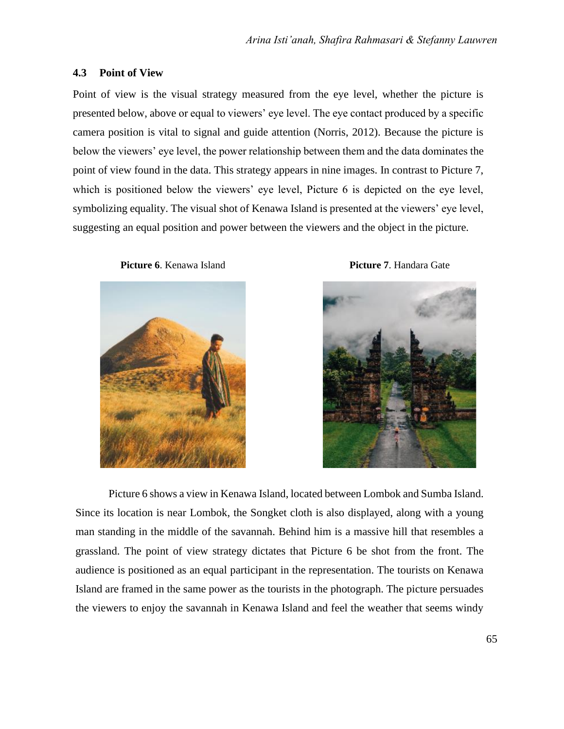#### **4.3 Point of View**

Point of view is the visual strategy measured from the eye level, whether the picture is presented below, above or equal to viewers' eye level. The eye contact produced by a specific camera position is vital to signal and guide attention (Norris, 2012). Because the picture is below the viewers' eye level, the power relationship between them and the data dominates the point of view found in the data. This strategy appears in nine images. In contrast to Picture 7, which is positioned below the viewers' eye level, Picture 6 is depicted on the eye level, symbolizing equality. The visual shot of Kenawa Island is presented at the viewers' eye level, suggesting an equal position and power between the viewers and the object in the picture.







Picture 6 shows a view in Kenawa Island, located between Lombok and Sumba Island. Since its location is near Lombok, the Songket cloth is also displayed, along with a young man standing in the middle of the savannah. Behind him is a massive hill that resembles a grassland. The point of view strategy dictates that Picture 6 be shot from the front. The audience is positioned as an equal participant in the representation. The tourists on Kenawa Island are framed in the same power as the tourists in the photograph. The picture persuades the viewers to enjoy the savannah in Kenawa Island and feel the weather that seems windy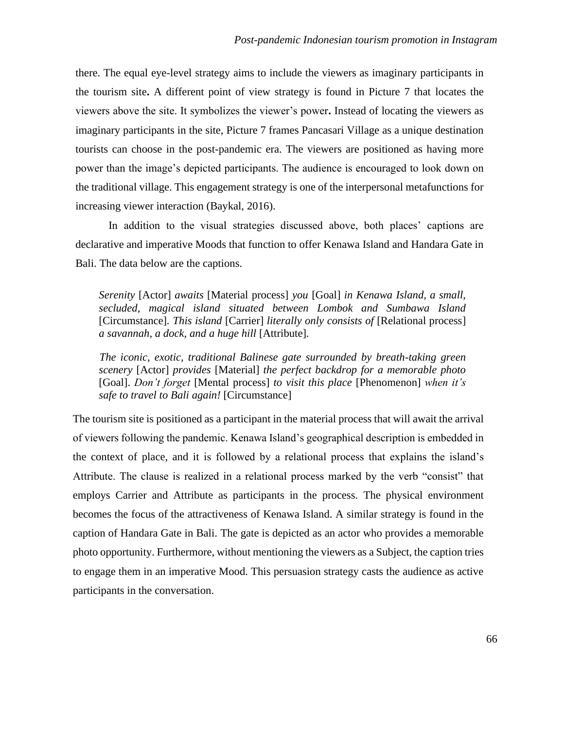there. The equal eye-level strategy aims to include the viewers as imaginary participants in the tourism site**.** A different point of view strategy is found in Picture 7 that locates the viewers above the site. It symbolizes the viewer's power**.** Instead of locating the viewers as imaginary participants in the site, Picture 7 frames Pancasari Village as a unique destination tourists can choose in the post-pandemic era. The viewers are positioned as having more power than the image's depicted participants. The audience is encouraged to look down on the traditional village. This engagement strategy is one of the interpersonal metafunctions for increasing viewer interaction (Baykal, 2016).

In addition to the visual strategies discussed above, both places' captions are declarative and imperative Moods that function to offer Kenawa Island and Handara Gate in Bali. The data below are the captions.

*Serenity* [Actor] *awaits* [Material process] *you* [Goal] *in Kenawa Island, a small, secluded, magical island situated between Lombok and Sumbawa Island*  [Circumstance]*. This island* [Carrier] *literally only consists of* [Relational process] *a savannah, a dock, and a huge hill* [Attribute]*.*

*The iconic, exotic, traditional Balinese gate surrounded by breath-taking green scenery* [Actor] *provides* [Material] *the perfect backdrop for a memorable photo* [Goal]. *Don't forget* [Mental process] *to visit this place* [Phenomenon] *when it's safe to travel to Bali again!* [Circumstance]

The tourism site is positioned as a participant in the material process that will await the arrival of viewers following the pandemic. Kenawa Island's geographical description is embedded in the context of place, and it is followed by a relational process that explains the island's Attribute. The clause is realized in a relational process marked by the verb "consist" that employs Carrier and Attribute as participants in the process. The physical environment becomes the focus of the attractiveness of Kenawa Island. A similar strategy is found in the caption of Handara Gate in Bali. The gate is depicted as an actor who provides a memorable photo opportunity. Furthermore, without mentioning the viewers as a Subject, the caption tries to engage them in an imperative Mood. This persuasion strategy casts the audience as active participants in the conversation.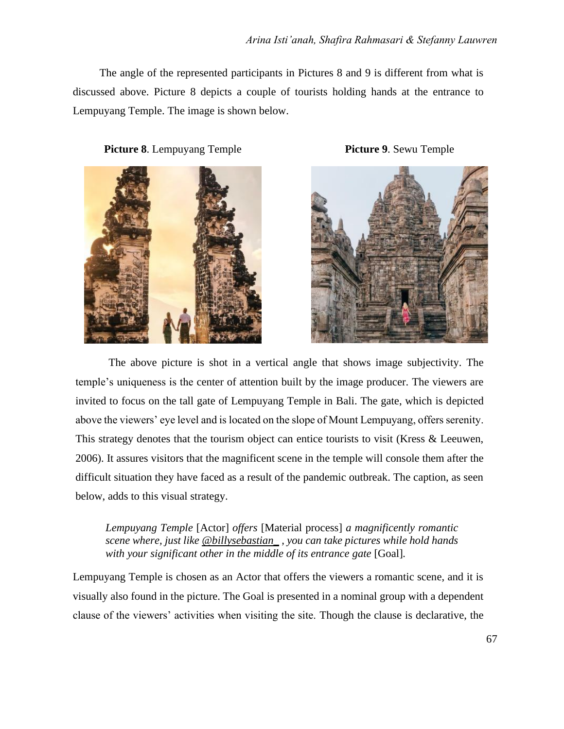The angle of the represented participants in Pictures 8 and 9 is different from what is discussed above. Picture 8 depicts a couple of tourists holding hands at the entrance to Lempuyang Temple. The image is shown below.

**Picture 8**. Lempuyang Temple **Picture 9**. Sewu Temple





The above picture is shot in a vertical angle that shows image subjectivity. The temple's uniqueness is the center of attention built by the image producer. The viewers are invited to focus on the tall gate of Lempuyang Temple in Bali. The gate, which is depicted above the viewers' eye level and is located on the slope of Mount Lempuyang, offers serenity. This strategy denotes that the tourism object can entice tourists to visit (Kress & Leeuwen, 2006). It assures visitors that the magnificent scene in the temple will console them after the difficult situation they have faced as a result of the pandemic outbreak. The caption, as seen below, adds to this visual strategy.

*Lempuyang Temple* [Actor] *offers* [Material process] *a magnificently romantic scene where, just like [@billysebastian\\_](https://www.instagram.com/billysebastian_/) , you can take pictures while hold hands with your significant other in the middle of its entrance gate* [Goal]*.*

Lempuyang Temple is chosen as an Actor that offers the viewers a romantic scene, and it is visually also found in the picture. The Goal is presented in a nominal group with a dependent clause of the viewers' activities when visiting the site. Though the clause is declarative, the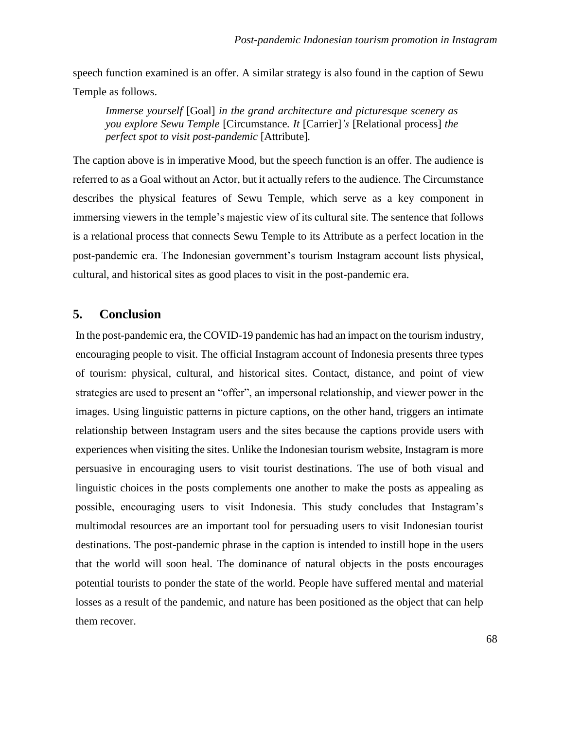speech function examined is an offer. A similar strategy is also found in the caption of Sewu Temple as follows.

*Immerse yourself* [Goal] *in the grand architecture and picturesque scenery as you explore Sewu Temple* [Circumstance*. It* [Carrier]*'s* [Relational process] *the perfect spot to visit post-pandemic* [Attribute]*.*

The caption above is in imperative Mood, but the speech function is an offer. The audience is referred to as a Goal without an Actor, but it actually refers to the audience. The Circumstance describes the physical features of Sewu Temple, which serve as a key component in immersing viewers in the temple's majestic view of its cultural site. The sentence that follows is a relational process that connects Sewu Temple to its Attribute as a perfect location in the post-pandemic era. The Indonesian government's tourism Instagram account lists physical, cultural, and historical sites as good places to visit in the post-pandemic era.

#### **5. Conclusion**

In the post-pandemic era, the COVID-19 pandemic has had an impact on the tourism industry, encouraging people to visit. The official Instagram account of Indonesia presents three types of tourism: physical, cultural, and historical sites. Contact, distance, and point of view strategies are used to present an "offer", an impersonal relationship, and viewer power in the images. Using linguistic patterns in picture captions, on the other hand, triggers an intimate relationship between Instagram users and the sites because the captions provide users with experiences when visiting the sites. Unlike the Indonesian tourism website, Instagram is more persuasive in encouraging users to visit tourist destinations. The use of both visual and linguistic choices in the posts complements one another to make the posts as appealing as possible, encouraging users to visit Indonesia. This study concludes that Instagram's multimodal resources are an important tool for persuading users to visit Indonesian tourist destinations. The post-pandemic phrase in the caption is intended to instill hope in the users that the world will soon heal. The dominance of natural objects in the posts encourages potential tourists to ponder the state of the world. People have suffered mental and material losses as a result of the pandemic, and nature has been positioned as the object that can help them recover.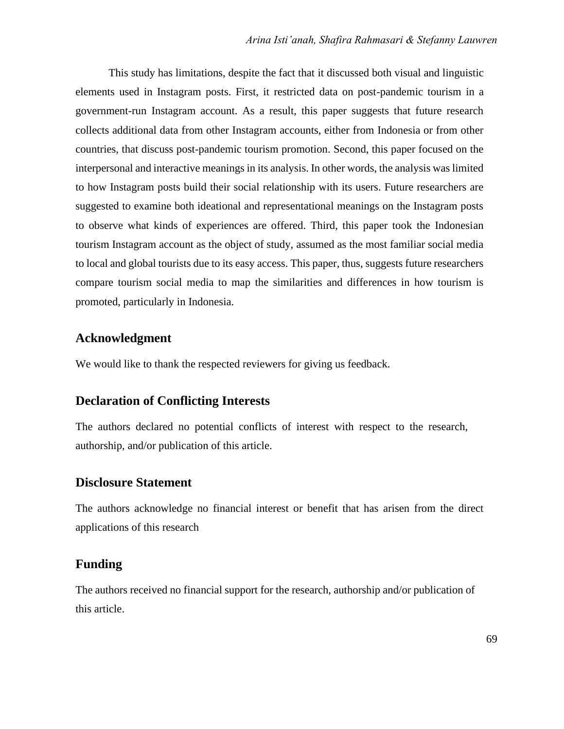This study has limitations, despite the fact that it discussed both visual and linguistic elements used in Instagram posts. First, it restricted data on post-pandemic tourism in a government-run Instagram account. As a result, this paper suggests that future research collects additional data from other Instagram accounts, either from Indonesia or from other countries, that discuss post-pandemic tourism promotion. Second, this paper focused on the interpersonal and interactive meanings in its analysis. In other words, the analysis was limited to how Instagram posts build their social relationship with its users. Future researchers are suggested to examine both ideational and representational meanings on the Instagram posts to observe what kinds of experiences are offered. Third, this paper took the Indonesian tourism Instagram account as the object of study, assumed as the most familiar social media to local and global tourists due to its easy access. This paper, thus, suggests future researchers compare tourism social media to map the similarities and differences in how tourism is promoted, particularly in Indonesia.

#### **Acknowledgment**

We would like to thank the respected reviewers for giving us feedback.

## **Declaration of Conflicting Interests**

The authors declared no potential conflicts of interest with respect to the research, authorship, and/or publication of this article.

#### **Disclosure Statement**

The authors acknowledge no financial interest or benefit that has arisen from the direct applications of this research

## **Funding**

The authors received no financial support for the research, authorship and/or publication of this article.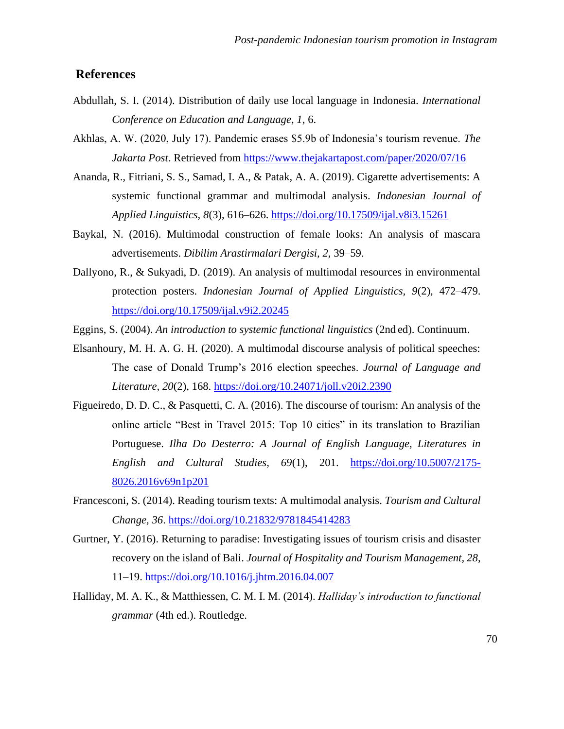### **References**

- Abdullah, S. I. (2014). Distribution of daily use local language in Indonesia. *International Conference on Education and Language, 1*, 6.
- Akhlas, A. W. (2020, July 17). Pandemic erases \$5.9b of Indonesia's tourism revenue. *The Jakarta Post*. Retrieved from<https://www.thejakartapost.com/paper/2020/07/16>
- Ananda, R., Fitriani, S. S., Samad, I. A., & Patak, A. A. (2019). Cigarette advertisements: A systemic functional grammar and multimodal analysis. *Indonesian Journal of Applied Linguistics, 8*(3), 616–626.<https://doi.org/10.17509/ijal.v8i3.15261>
- Baykal, N. (2016). Multimodal construction of female looks: An analysis of mascara advertisements. *Dibilim Arastirmalari Dergisi, 2,* 39–59.
- Dallyono, R., & Sukyadi, D. (2019). An analysis of multimodal resources in environmental protection posters. *Indonesian Journal of Applied Linguistics, 9*(2), 472–479. <https://doi.org/10.17509/ijal.v9i2.20245>
- Eggins, S. (2004). *An introduction to systemic functional linguistics* (2nd ed). Continuum.
- Elsanhoury, M. H. A. G. H. (2020). A multimodal discourse analysis of political speeches: The case of Donald Trump's 2016 election speeches. *Journal of Language and Literature, 20*(2), 168.<https://doi.org/10.24071/joll.v20i2.2390>
- Figueiredo, D. D. C., & Pasquetti, C. A. (2016). The discourse of tourism: An analysis of the online article "Best in Travel 2015: Top 10 cities" in its translation to Brazilian Portuguese. *Ilha Do Desterro: A Journal of English Language, Literatures in English and Cultural Studies, 69*(1), 201. [https://doi.org/10.5007/2175-](https://doi.org/10.5007/2175-8026.2016v69n1p201) [8026.2016v69n1p201](https://doi.org/10.5007/2175-8026.2016v69n1p201)
- Francesconi, S. (2014). Reading tourism texts: A multimodal analysis. *Tourism and Cultural Change, 36*.<https://doi.org/10.21832/9781845414283>
- Gurtner, Y. (2016). Returning to paradise: Investigating issues of tourism crisis and disaster recovery on the island of Bali. *Journal of Hospitality and Tourism Management, 28*, 11–19.<https://doi.org/10.1016/j.jhtm.2016.04.007>
- Halliday, M. A. K., & Matthiessen, C. M. I. M. (2014). *Halliday's introduction to functional grammar* (4th ed.). Routledge.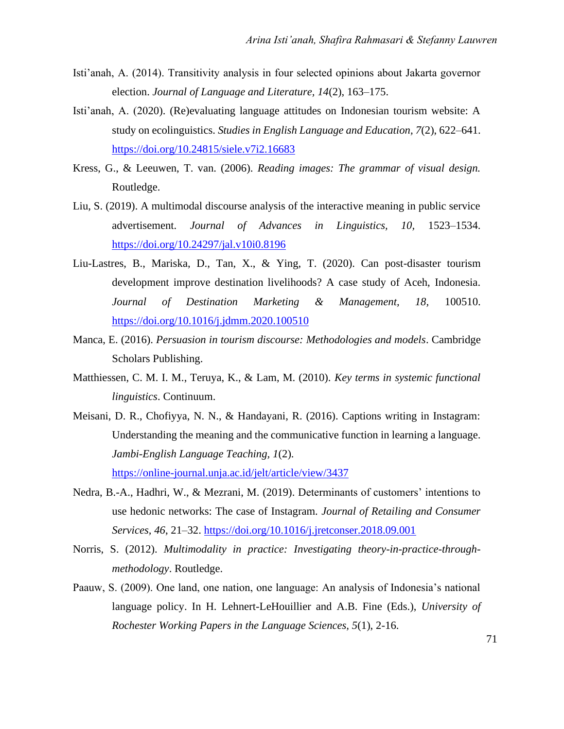- Isti'anah, A. (2014). Transitivity analysis in four selected opinions about Jakarta governor election. *Journal of Language and Literature, 14*(2), 163–175.
- Isti'anah, A. (2020). (Re)evaluating language attitudes on Indonesian tourism website: A study on ecolinguistics. *Studies in English Language and Education, 7*(2), 622–641. <https://doi.org/10.24815/siele.v7i2.16683>
- Kress, G., & Leeuwen, T. van. (2006). *Reading images: The grammar of visual design.*  Routledge.
- Liu, S. (2019). A multimodal discourse analysis of the interactive meaning in public service advertisement. *Journal of Advances in Linguistics, 10,* 1523–1534. <https://doi.org/10.24297/jal.v10i0.8196>
- Liu-Lastres, B., Mariska, D., Tan, X., & Ying, T. (2020). Can post-disaster tourism development improve destination livelihoods? A case study of Aceh, Indonesia. *Journal of Destination Marketing & Management, 18,* 100510. <https://doi.org/10.1016/j.jdmm.2020.100510>
- Manca, E. (2016). *Persuasion in tourism discourse: Methodologies and models*. Cambridge Scholars Publishing.
- Matthiessen, C. M. I. M., Teruya, K., & Lam, M. (2010). *Key terms in systemic functional linguistics*. Continuum.
- Meisani, D. R., Chofiyya, N. N., & Handayani, R. (2016). Captions writing in Instagram: Understanding the meaning and the communicative function in learning a language. *Jambi-English Language Teaching, 1*(2). <https://online-journal.unja.ac.id/jelt/article/view/3437>
- Nedra, B.-A., Hadhri, W., & Mezrani, M. (2019). Determinants of customers' intentions to use hedonic networks: The case of Instagram. *Journal of Retailing and Consumer Services, 46*, 21–32.<https://doi.org/10.1016/j.jretconser.2018.09.001>
- Norris, S. (2012). *Multimodality in practice: Investigating theory-in-practice-throughmethodology*. Routledge.
- Paauw, S. (2009). One land, one nation, one language: An analysis of Indonesia's national language policy. In H. Lehnert-LeHouillier and A.B. Fine (Eds.), *University of Rochester Working Papers in the Language Sciences, 5*(1), 2-16.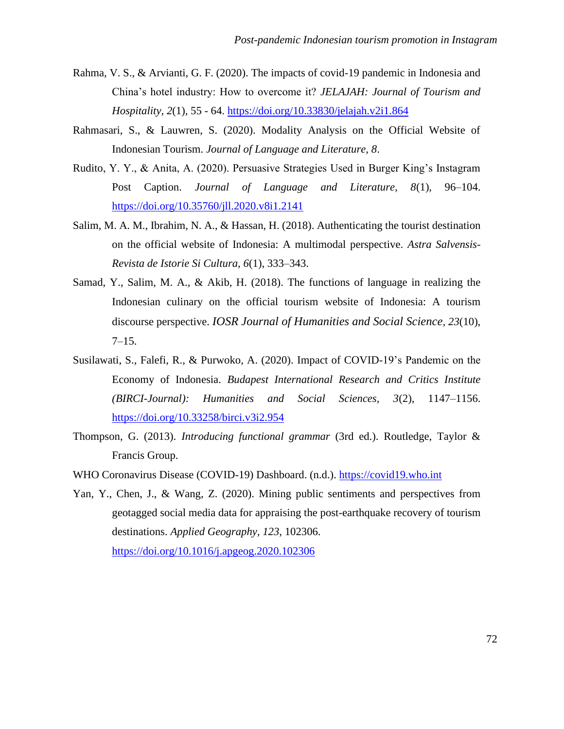- Rahma, V. S., & Arvianti, G. F. (2020). The impacts of covid-19 pandemic in Indonesia and China's hotel industry: How to overcome it? *JELAJAH: Journal of Tourism and Hospitality*, *2*(1), 55 - 64.<https://doi.org/10.33830/jelajah.v2i1.864>
- Rahmasari, S., & Lauwren, S. (2020). Modality Analysis on the Official Website of Indonesian Tourism. *Journal of Language and Literature, 8*.
- Rudito, Y. Y., & Anita, A. (2020). Persuasive Strategies Used in Burger King's Instagram Post Caption. *Journal of Language and Literature, 8*(1), 96–104. <https://doi.org/10.35760/jll.2020.v8i1.2141>
- Salim, M. A. M., Ibrahim, N. A., & Hassan, H. (2018). Authenticating the tourist destination on the official website of Indonesia: A multimodal perspective. *Astra Salvensis-Revista de Istorie Si Cultura, 6*(1), 333–343.
- Samad, Y., Salim, M. A., & Akib, H. (2018). The functions of language in realizing the Indonesian culinary on the official tourism website of Indonesia: A tourism discourse perspective. *IOSR Journal of Humanities and Social Science, 23*(10), 7–15.
- Susilawati, S., Falefi, R., & Purwoko, A. (2020). Impact of COVID-19's Pandemic on the Economy of Indonesia. *Budapest International Research and Critics Institute (BIRCI-Journal): Humanities and Social Sciences, 3*(2), 1147–1156. <https://doi.org/10.33258/birci.v3i2.954>
- Thompson, G. (2013). *Introducing functional grammar* (3rd ed.). Routledge, Taylor & Francis Group.
- WHO Coronavirus Disease (COVID-19) Dashboard. (n.d.). [https://covid19.who.int](https://covid19.who.int/)
- Yan, Y., Chen, J., & Wang, Z. (2020). Mining public sentiments and perspectives from geotagged social media data for appraising the post-earthquake recovery of tourism destinations. *Applied Geography, 123*, 102306. <https://doi.org/10.1016/j.apgeog.2020.102306>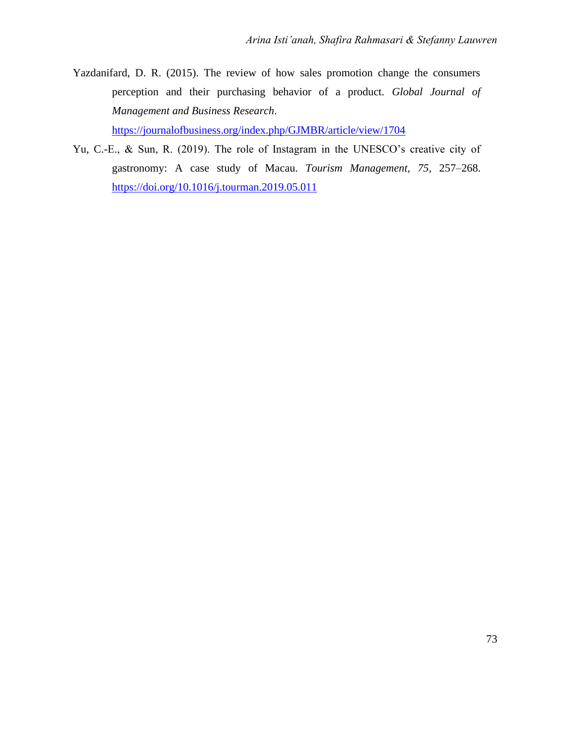Yazdanifard, D. R. (2015). The review of how sales promotion change the consumers perception and their purchasing behavior of a product. *Global Journal of Management and Business Research*.

<https://journalofbusiness.org/index.php/GJMBR/article/view/1704>

Yu, C.-E., & Sun, R. (2019). The role of Instagram in the UNESCO's creative city of gastronomy: A case study of Macau. *Tourism Management, 75*, 257–268. <https://doi.org/10.1016/j.tourman.2019.05.011>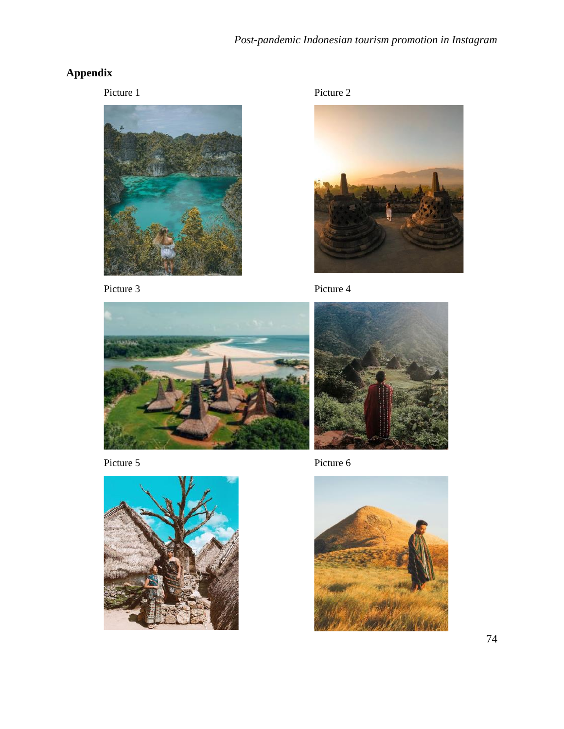## **Appendix**

Picture 1 Picture 2











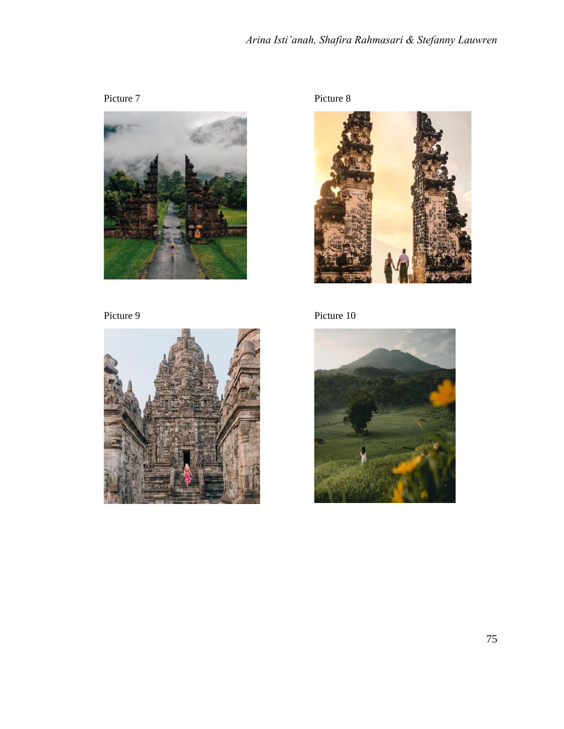# *Arina Isti'anah, Shafira Rahmasari & Stefanny Lauwren*









Picture 9 Picture 10